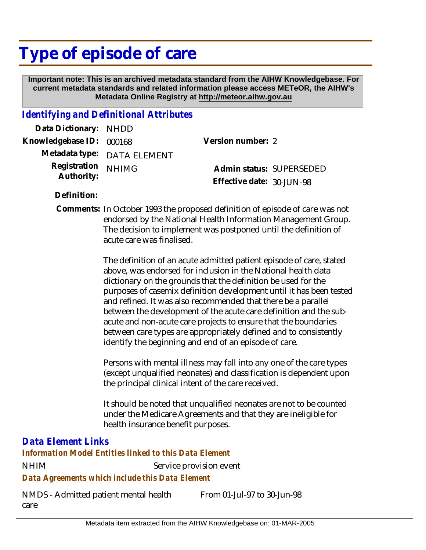# **Type of episode of care**

 **Important note: This is an archived metadata standard from the AIHW Knowledgebase. For current metadata standards and related information please access METeOR, the AIHW's Metadata Online Registry at http://meteor.aihw.gov.au**

### *Identifying and Definitional Attributes*

| Data Dictionary: NHDD            |                             |                           |  |
|----------------------------------|-----------------------------|---------------------------|--|
| Knowledgebase ID: 000168         |                             | Version number: 2         |  |
|                                  | Metadata type: DATA ELEMENT |                           |  |
| Registration NHIMG<br>Authority: |                             | Admin status: SUPERSEDED  |  |
|                                  |                             | Effective date: 30-JUN-98 |  |

**Definition:**

Comments: In October 1993 the proposed definition of episode of care was not endorsed by the National Health Information Management Group. The decision to implement was postponed until the definition of acute care was finalised.

> The definition of an acute admitted patient episode of care, stated above, was endorsed for inclusion in the National health data dictionary on the grounds that the definition be used for the purposes of casemix definition development until it has been tested and refined. It was also recommended that there be a parallel between the development of the acute care definition and the subacute and non-acute care projects to ensure that the boundaries between care types are appropriately defined and to consistently identify the beginning and end of an episode of care.

Persons with mental illness may fall into any one of the care types (except unqualified neonates) and classification is dependent upon the principal clinical intent of the care received.

It should be noted that unqualified neonates are not to be counted under the Medicare Agreements and that they are ineligible for health insurance benefit purposes.

## *Data Element Links*

NHIM Service provision event *Data Agreements which include this Data Element Information Model Entities linked to this Data Element*

NMDS - Admitted patient mental health care

From 01-Jul-97 to 30-Jun-98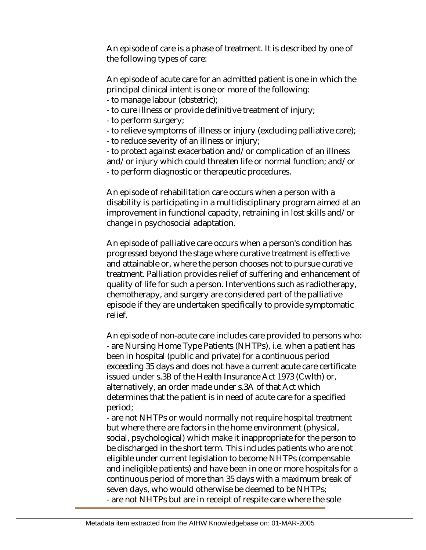An episode of care is a phase of treatment. It is described by one of the following types of care:

An episode of acute care for an admitted patient is one in which the principal clinical intent is one or more of the following: - to manage labour (obstetric);

- to cure illness or provide definitive treatment of injury;
- to perform surgery;
- to relieve symptoms of illness or injury (excluding palliative care);
- to reduce severity of an illness or injury;

- to protect against exacerbation and/or complication of an illness and/or injury which could threaten life or normal function; and/or - to perform diagnostic or therapeutic procedures.

An episode of rehabilitation care occurs when a person with a disability is participating in a multidisciplinary program aimed at an improvement in functional capacity, retraining in lost skills and/or change in psychosocial adaptation.

An episode of palliative care occurs when a person's condition has progressed beyond the stage where curative treatment is effective and attainable or, where the person chooses not to pursue curative treatment. Palliation provides relief of suffering and enhancement of quality of life for such a person. Interventions such as radiotherapy, chemotherapy, and surgery are considered part of the palliative episode if they are undertaken specifically to provide symptomatic relief.

An episode of non-acute care includes care provided to persons who: - are Nursing Home Type Patients (NHTPs), i.e. when a patient has been in hospital (public and private) for a continuous period exceeding 35 days and does not have a current acute care certificate issued under s.3B of the Health Insurance Act 1973 (Cwlth) or, alternatively, an order made under s.3A of that Act which determines that the patient is in need of acute care for a specified period;

- are not NHTPs or would normally not require hospital treatment but where there are factors in the home environment (physical, social, psychological) which make it inappropriate for the person to be discharged in the short term. This includes patients who are not eligible under current legislation to become NHTPs (compensable and ineligible patients) and have been in one or more hospitals for a continuous period of more than 35 days with a maximum break of seven days, who would otherwise be deemed to be NHTPs; - are not NHTPs but are in receipt of respite care where the sole

Metadata item extracted from the AIHW Knowledgebase on: 01-MAR-2005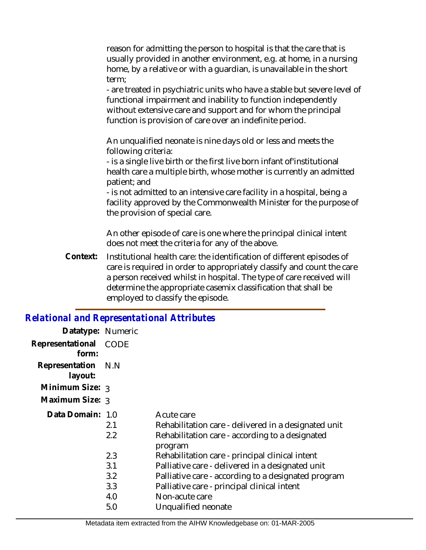reason for admitting the person to hospital is that the care that is usually provided in another environment, e.g. at home, in a nursing home, by a relative or with a guardian, is unavailable in the short term;

- are treated in psychiatric units who have a stable but severe level of functional impairment and inability to function independently without extensive care and support and for whom the principal function is provision of care over an indefinite period.

An unqualified neonate is nine days old or less and meets the following criteria:

- is a single live birth or the first live born infant of'institutional health care a multiple birth, whose mother is currently an admitted patient; and

- is not admitted to an intensive care facility in a hospital, being a facility approved by the Commonwealth Minister for the purpose of the provision of special care.

An other episode of care is one where the principal clinical intent does not meet the criteria for any of the above.

Institutional health care: the identification of different episodes of care is required in order to appropriately classify and count the care a person received whilst in hospital. The type of care received will determine the appropriate casemix classification that shall be employed to classify the episode. **Context:**

#### *Relational and Representational Attributes*

| Datatype: Numeric         |             |                                                      |
|---------------------------|-------------|------------------------------------------------------|
| Representational<br>form: | <b>CODE</b> |                                                      |
| Representation<br>layout: | N.N         |                                                      |
| Minimum Size: 3           |             |                                                      |
| Maximum Size: 3           |             |                                                      |
| Data Domain: 1.0          |             | Acute care                                           |
|                           | 2.1         | Rehabilitation care - delivered in a designated unit |
|                           | 2.2         | Rehabilitation care - according to a designated      |
|                           |             | program                                              |
|                           | 2.3         | Rehabilitation care - principal clinical intent      |
|                           | 3.1         | Palliative care - delivered in a designated unit     |
|                           | 3.2         | Palliative care - according to a designated program  |
|                           | 3.3         | Palliative care - principal clinical intent          |
|                           | 4.0         | Non-acute care                                       |
|                           | 5.0         | Unqualified neonate                                  |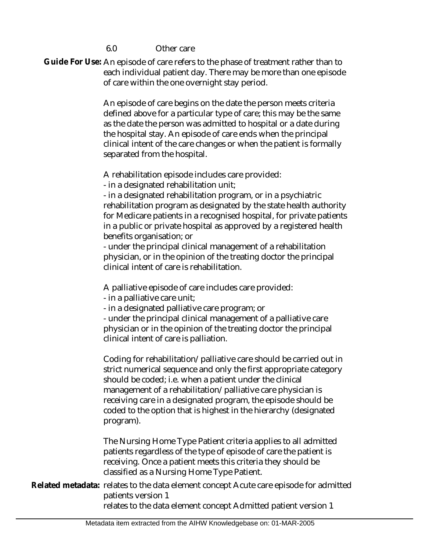6.0 Other care

Guide For Use: An episode of care refers to the phase of treatment rather than to each individual patient day. There may be more than one episode of care within the one overnight stay period.

> An episode of care begins on the date the person meets criteria defined above for a particular type of care; this may be the same as the date the person was admitted to hospital or a date during the hospital stay. An episode of care ends when the principal clinical intent of the care changes or when the patient is formally separated from the hospital.

A rehabilitation episode includes care provided:

- in a designated rehabilitation unit;

- in a designated rehabilitation program, or in a psychiatric rehabilitation program as designated by the state health authority for Medicare patients in a recognised hospital, for private patients in a public or private hospital as approved by a registered health benefits organisation; or

- under the principal clinical management of a rehabilitation physician, or in the opinion of the treating doctor the principal clinical intent of care is rehabilitation.

A palliative episode of care includes care provided:

- in a palliative care unit;
- in a designated palliative care program; or

- under the principal clinical management of a palliative care physician or in the opinion of the treating doctor the principal clinical intent of care is palliation.

Coding for rehabilitation/palliative care should be carried out in strict numerical sequence and only the first appropriate category should be coded; i.e. when a patient under the clinical management of a rehabilitation/palliative care physician is receiving care in a designated program, the episode should be coded to the option that is highest in the hierarchy (designated program).

The Nursing Home Type Patient criteria applies to all admitted patients regardless of the type of episode of care the patient is receiving. Once a patient meets this criteria they should be classified as a Nursing Home Type Patient.

Related metadata: relates to the data element concept Acute care episode for admitted patients version 1

relates to the data element concept Admitted patient version 1